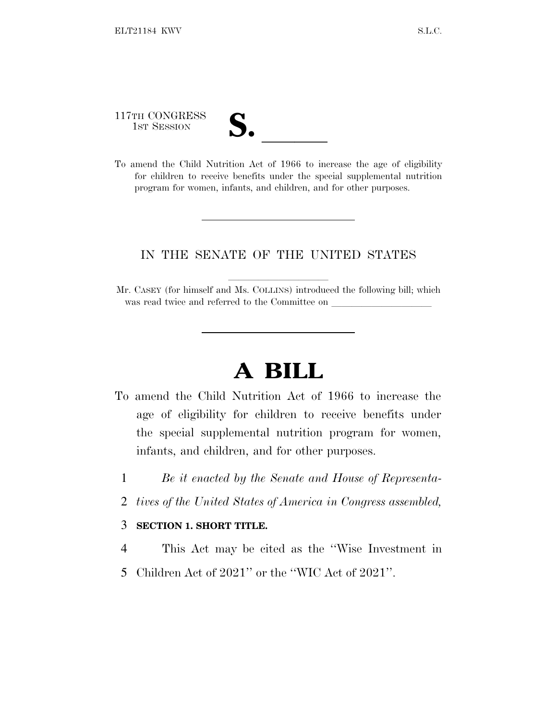117TH CONGRESS

117TH CONGRESS<br>
1ST SESSION<br>
To amend the Child Nutrition Act of 1966 to increase the age of eligibility for children to receive benefits under the special supplemental nutrition program for women, infants, and children, and for other purposes.

## IN THE SENATE OF THE UNITED STATES

Mr. CASEY (for himself and Ms. COLLINS) introduced the following bill; which was read twice and referred to the Committee on

## **A BILL**

- To amend the Child Nutrition Act of 1966 to increase the age of eligibility for children to receive benefits under the special supplemental nutrition program for women, infants, and children, and for other purposes.
	- 1 *Be it enacted by the Senate and House of Representa-*
	- 2 *tives of the United States of America in Congress assembled,*

## 3 **SECTION 1. SHORT TITLE.**

- 4 This Act may be cited as the ''Wise Investment in
- 5 Children Act of 2021'' or the ''WIC Act of 2021''.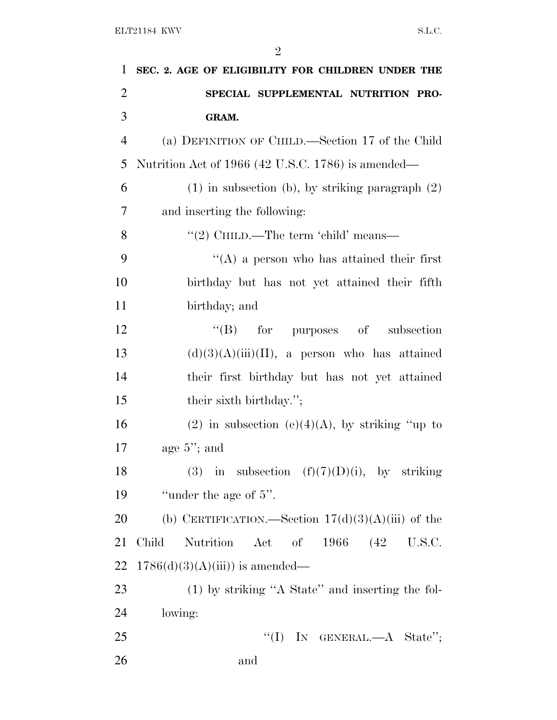| 1              | SEC. 2. AGE OF ELIGIBILITY FOR CHILDREN UNDER THE            |
|----------------|--------------------------------------------------------------|
| $\overline{2}$ | SPECIAL SUPPLEMENTAL NUTRITION PRO-                          |
| 3              | GRAM.                                                        |
| $\overline{4}$ | (a) DEFINITION OF CHILD.—Section 17 of the Child             |
| 5              | Nutrition Act of 1966 (42 U.S.C. 1786) is amended—           |
| 6              | $(1)$ in subsection (b), by striking paragraph $(2)$         |
| $\overline{7}$ | and inserting the following:                                 |
| 8              | "(2) CHILD.—The term 'child' means—                          |
| 9              | $\lq\lq$ (A) a person who has attained their first           |
| 10             | birthday but has not yet attained their fifth                |
| 11             | birthday; and                                                |
| 12             | $\lq\lq (B)$ for purposes of<br>subsection                   |
| 13             | $(d)(3)(A)(iii)(II)$ , a person who has attained             |
| 14             | their first birthday but has not yet attained                |
| 15             | their sixth birthday.";                                      |
| 16             | (2) in subsection (e)(4)(A), by striking "up to              |
| 17             | age $5$ "; and                                               |
| 18             | (3) in subsection $(f)(7)(D)(i)$ , by striking               |
| 19             | "under the age of $5$ ".                                     |
| 20             | (b) CERTIFICATION.—Section $17(d)(3)(A)(iii)$ of the         |
| 21             | of $1966$ $(42 \text{ U.S.C.})$<br>Child<br>Nutrition<br>Act |
| 22             | $1786(d)(3)(A(iii))$ is amended—                             |
| 23             | (1) by striking "A State" and inserting the fol-             |
| 24             | lowing:                                                      |
| 25             | "(I) IN GENERAL.— $A$ State";                                |
| 26             | and                                                          |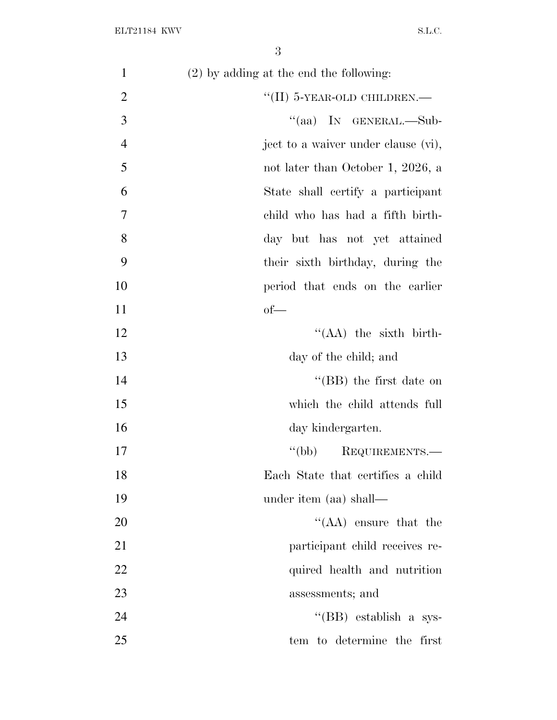| $\mathbf{1}$   | $(2)$ by adding at the end the following: |
|----------------|-------------------------------------------|
| $\overline{2}$ | $``(II)$ 5-YEAR-OLD CHILDREN.—            |
| 3              | "(aa) IN GENERAL.—Sub-                    |
| $\overline{4}$ | ject to a waiver under clause (vi),       |
| 5              | not later than October 1, 2026, a         |
| 6              | State shall certify a participant         |
| 7              | child who has had a fifth birth-          |
| 8              | day but has not yet attained              |
| 9              | their sixth birthday, during the          |
| 10             | period that ends on the earlier           |
| 11             | $of$ —                                    |
| 12             | $\lq\lq (AA)$ the sixth birth-            |
| 13             | day of the child; and                     |
| 14             | "(BB) the first date on                   |
| 15             | which the child attends full              |
| 16             | day kindergarten.                         |
| 17             | "(bb) REQUIREMENTS.—                      |
| 18             | Each State that certifies a child         |
| 19             | under item (aa) shall—                    |
| 20             | $\lq\lq$ (AA) ensure that the             |
| 21             | participant child receives re-            |
| 22             | quired health and nutrition               |
| 23             | assessments; and                          |
| 24             | "(BB) establish a sys-                    |
| 25             | tem to determine the first                |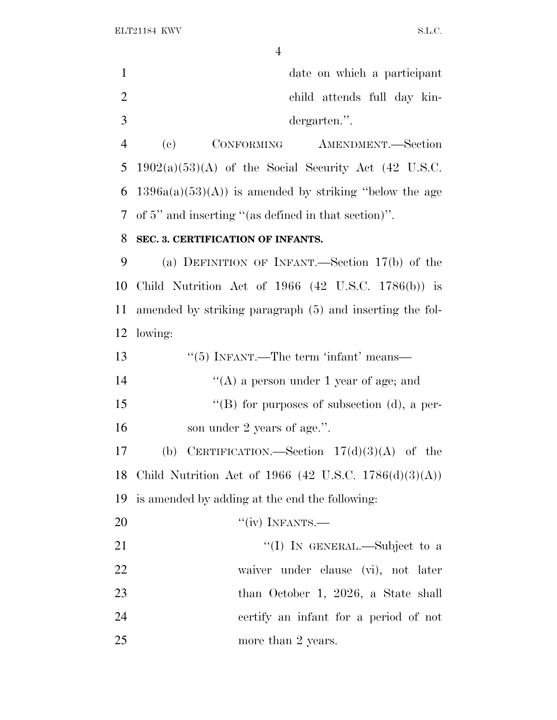ELT21184 KWV S.L.C.

|                | $\overline{4}$                                                 |  |  |
|----------------|----------------------------------------------------------------|--|--|
| $\mathbf{1}$   | date on which a participant                                    |  |  |
| $\overline{2}$ | child attends full day kin-                                    |  |  |
| 3              | dergarten.".                                                   |  |  |
| $\overline{4}$ | $\left( \mathrm{e}\right)$<br>CONFORMING<br>AMENDMENT.-Section |  |  |
| 5              | $1902(a)(53)(A)$ of the Social Security Act (42 U.S.C.         |  |  |
| 6              | $1396a(a)(53)(A)$ is amended by striking "below the age        |  |  |
| 7              | of 5" and inserting "(as defined in that section)".            |  |  |
| 8              | SEC. 3. CERTIFICATION OF INFANTS.                              |  |  |
| 9              | (a) DEFINITION OF INFANT.—Section $17(b)$ of the               |  |  |
| 10             | Child Nutrition Act of $1966$ (42 U.S.C. $1786(b)$ ) is        |  |  |
| 11             | amended by striking paragraph (5) and inserting the fol-       |  |  |
| 12             | lowing:                                                        |  |  |
| 13             | $\cdot\cdot$ (5) INFANT.—The term 'infant' means—              |  |  |
| 14             | "(A) a person under 1 year of age; and                         |  |  |
| 15             | "(B) for purposes of subsection (d), a per-                    |  |  |
| 16             | son under 2 years of age.".                                    |  |  |
| 17             | (b) CERTIFICATION Soction $17(d)(2)(\Lambda)$ of the           |  |  |

 (b) CERTIFICATION.—Section 17(d)(3)(A) of the Child Nutrition Act of 1966 (42 U.S.C. 1786(d)(3)(A)) is amended by adding at the end the following:

20 "(iv) INFANTS.—

21 ''(I) IN GENERAL.—Subject to a waiver under clause (vi), not later than October 1, 2026, a State shall certify an infant for a period of not more than 2 years.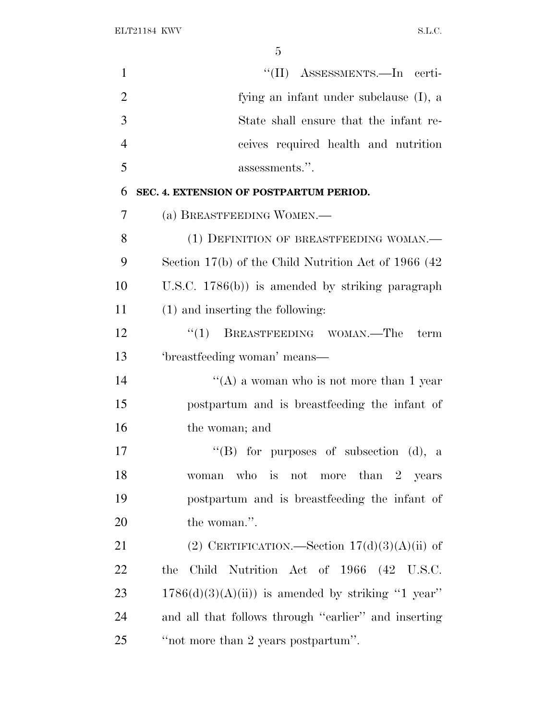| $\mathbf{1}$   | "(II) ASSESSMENTS.—In certi-                            |
|----------------|---------------------------------------------------------|
| $\overline{2}$ | fying an infant under subclause (I), a                  |
| 3              | State shall ensure that the infant re-                  |
| $\overline{4}$ | ceives required health and nutrition                    |
| 5              | assessments.".                                          |
| 6              | SEC. 4. EXTENSION OF POSTPARTUM PERIOD.                 |
| 7              | (a) BREASTFEEDING WOMEN.—                               |
| 8              | (1) DEFINITION OF BREASTFEEDING WOMAN.-                 |
| 9              | Section $17(b)$ of the Child Nutrition Act of 1966 (42) |
| 10             | U.S.C. $1786(b)$ is amended by striking paragraph       |
| 11             | $(1)$ and inserting the following:                      |
| 12             | BREASTFEEDING WOMAN.—The<br>``(1)<br>term               |
| 13             | 'breastfeeding woman' means—                            |
| 14             | "(A) a woman who is not more than 1 year                |
| 15             | postpartum and is breastfeeding the infant of           |
| 16             | the woman; and                                          |
| 17             | "(B) for purposes of subsection (d), a                  |
| 18             | who is not more than $2$ years<br>woman                 |
| 19             | postpartum and is breastfeeding the infant of           |
| 20             | the woman.".                                            |
| 21             | (2) CERTIFICATION.—Section $17(d)(3)(A)(ii)$ of         |
| 22             | Child Nutrition Act of 1966 (42 U.S.C.<br>the           |
| 23             | $1786(d)(3)(A(ii))$ is amended by striking "1 year"     |
| 24             | and all that follows through "earlier" and inserting    |
| 25             | "not more than 2 years postpartum".                     |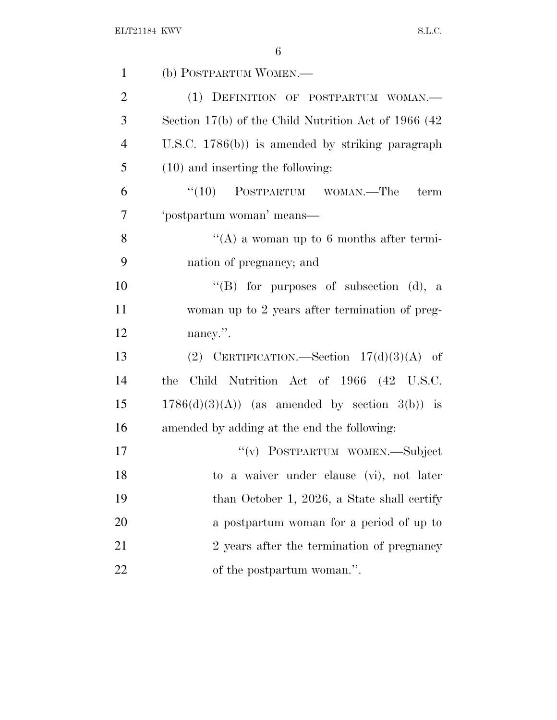| $\mathbf{1}$   | (b) POSTPARTUM WOMEN.—                               |
|----------------|------------------------------------------------------|
| $\overline{2}$ | (1) DEFINITION OF POSTPARTUM WOMAN.                  |
| 3              | Section 17(b) of the Child Nutrition Act of 1966 (42 |
| $\overline{4}$ | U.S.C. $1786(b)$ is amended by striking paragraph    |
| 5              | $(10)$ and inserting the following:                  |
| 6              | $\cdot$ (10) POSTPARTUM WOMAN.—The<br>term           |
| $\overline{7}$ | 'postpartum woman' means-                            |
| 8              | $\lq\lq$ a woman up to 6 months after termi-         |
| 9              | nation of pregnancy; and                             |
| 10             | "(B) for purposes of subsection (d), a               |
| 11             | woman up to 2 years after termination of preg-       |
| 12             | nancy.".                                             |
| 13             | (2) CERTIFICATION.—Section $17(d)(3)(A)$ of          |
| 14             | Child Nutrition Act of 1966 (42 U.S.C.<br>the        |
| 15             | $1786(d)(3)(A)$ (as amended by section 3(b)) is      |
| 16             | amended by adding at the end the following:          |
| 17             | "(v) POSTPARTUM WOMEN.—Subject                       |
| 18             | to a waiver under clause (vi), not later             |
| 19             | than October 1, 2026, a State shall certify          |
| 20             | a postpartum woman for a period of up to             |
| 21             | 2 years after the termination of pregnancy           |
| 22             | of the postpartum woman.".                           |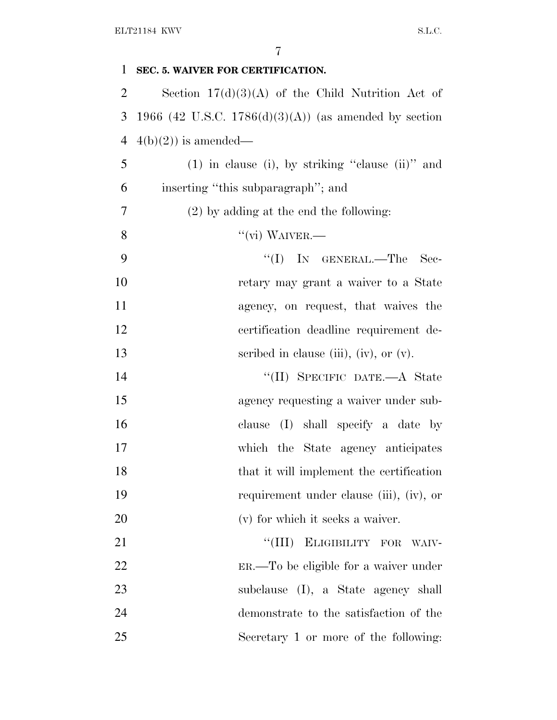| $\mathbf{1}$   | SEC. 5. WAIVER FOR CERTIFICATION.                     |
|----------------|-------------------------------------------------------|
| $\overline{2}$ | Section $17(d)(3)(A)$ of the Child Nutrition Act of   |
| 3              | 1966 (42 U.S.C. 1786(d)(3)(A)) (as amended by section |
| $\overline{4}$ | $4(b)(2)$ is amended—                                 |
| 5              | $(1)$ in clause (i), by striking "clause (ii)" and    |
| 6              | inserting "this subparagraph"; and                    |
| 7              | $(2)$ by adding at the end the following:             |
| 8              | $``$ (vi) WAIVER.—                                    |
| 9              | $\lq\lq$ (I) In GENERAL.—The<br>Sec-                  |
| 10             | retary may grant a waiver to a State                  |
| 11             | agency, on request, that waives the                   |
| 12             | certification deadline requirement de-                |
| 13             | scribed in clause (iii), (iv), or $(v)$ .             |
| 14             | "(II) SPECIFIC DATE.—A State                          |
| 15             | agency requesting a waiver under sub-                 |
| 16             | clause (I) shall specify a date by                    |
| 17             | which the State agency anticipates                    |
| 18             | that it will implement the certification              |
| 19             | requirement under clause (iii), (iv), or              |
| 20             | (v) for which it seeks a waiver.                      |
| 21             | "(III) ELIGIBILITY FOR<br>WAIV-                       |
| 22             | ER.—To be eligible for a waiver under                 |
| 23             | subclause (I), a State agency shall                   |
| 24             | demonstrate to the satisfaction of the                |
| 25             | Secretary 1 or more of the following:                 |